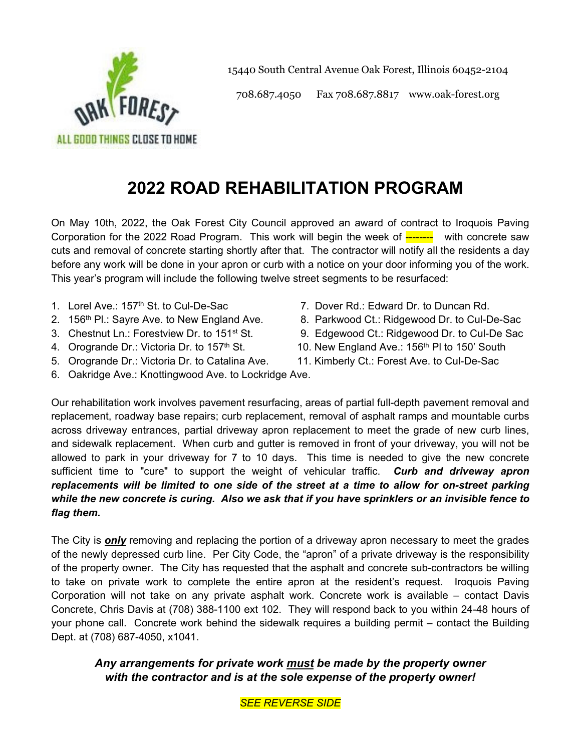

15440 South Central Avenue Oak Forest, Illinois 60452-2104

708.687.4050 Fax 708.687.8817 www.oak-forest.org

# **2022 ROAD REHABILITATION PROGRAM**

On May 10th, 2022, the Oak Forest City Council approved an award of contract to Iroquois Paving Corporation for the 2022 Road Program. This work will begin the week of -------- with concrete saw cuts and removal of concrete starting shortly after that. The contractor will notify all the residents a day before any work will be done in your apron or curb with a notice on your door informing you of the work. This year's program will include the following twelve street segments to be resurfaced:

- 1. Lorel Ave.: 157th St. to Cul-De-Sac
- 2. 156<sup>th</sup> Pl.: Sayre Ave. to New England Ave.
- 3. Chestnut Ln.: Forestview Dr. to 151st St.
- 4. Orogrande Dr.: Victoria Dr. to 157<sup>th</sup> St.
- 5. Orogrande Dr.: Victoria Dr. to Catalina Ave.
- 6. Oakridge Ave.: Knottingwood Ave. to Lockridge Ave.
- 7. Dover Rd.: Edward Dr. to Duncan Rd.
- 8. Parkwood Ct.: Ridgewood Dr. to Cul-De-Sac
- 9. Edgewood Ct.: Ridgewood Dr. to Cul-De Sac
- 10. New England Ave.: 156<sup>th</sup> PI to 150' South
- 11. Kimberly Ct.: Forest Ave. to Cul-De-Sac

Our rehabilitation work involves pavement resurfacing, areas of partial full-depth pavement removal and replacement, roadway base repairs; curb replacement, removal of asphalt ramps and mountable curbs across driveway entrances, partial driveway apron replacement to meet the grade of new curb lines, and sidewalk replacement. When curb and gutter is removed in front of your driveway, you will not be allowed to park in your driveway for 7 to 10 days. This time is needed to give the new concrete sufficient time to "cure" to support the weight of vehicular traffic. *Curb and driveway apron replacements will be limited to one side of the street at a time to allow for on-street parking while the new concrete is curing. Also we ask that if you have sprinklers or an invisible fence to flag them.* 

The City is *only* removing and replacing the portion of a driveway apron necessary to meet the grades of the newly depressed curb line. Per City Code, the "apron" of a private driveway is the responsibility of the property owner. The City has requested that the asphalt and concrete sub-contractors be willing to take on private work to complete the entire apron at the resident's request. Iroquois Paving Corporation will not take on any private asphalt work. Concrete work is available – contact Davis Concrete, Chris Davis at (708) 388-1100 ext 102. They will respond back to you within 24-48 hours of your phone call. Concrete work behind the sidewalk requires a building permit – contact the Building Dept. at (708) 687-4050, x1041.

## *Any arrangements for private work must be made by the property owner with the contractor and is at the sole expense of the property owner!*

*SEE REVERSE SIDE*